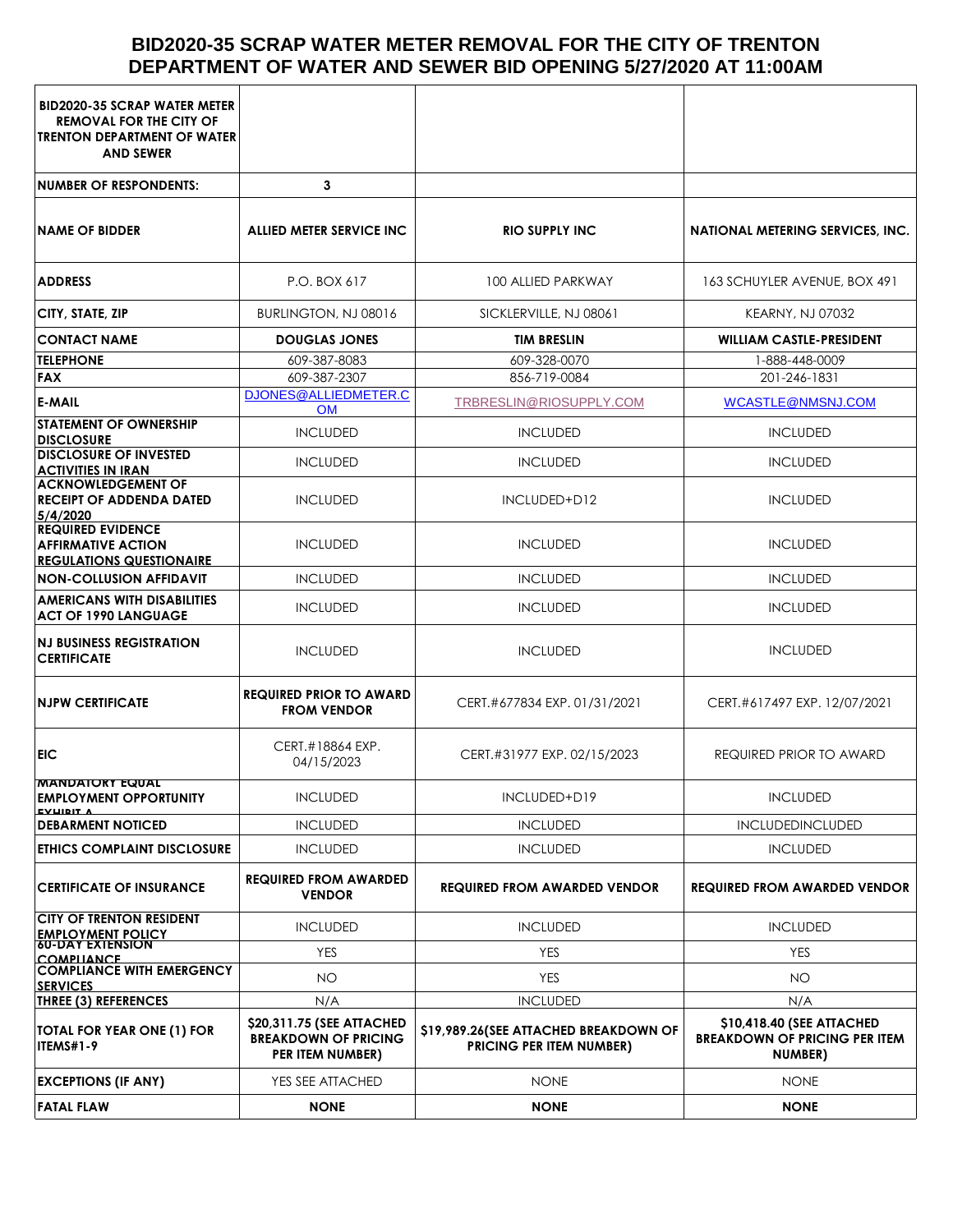# **BID2020-35 SCRAP WATER METER REMOVAL FOR THE CITY OF TRENTON DEPARTMENT OF WATER AND SEWER BID OPENING 5/27/2020 AT 11:00AM**

| <b>BID2020-35 SCRAP WATER METER</b><br><b>REMOVAL FOR THE CITY OF</b><br><b>TRENTON DEPARTMENT OF WATER</b><br><b>AND SEWER</b> |                                                                              |                                                                          |                                                                                     |  |
|---------------------------------------------------------------------------------------------------------------------------------|------------------------------------------------------------------------------|--------------------------------------------------------------------------|-------------------------------------------------------------------------------------|--|
| <b>NUMBER OF RESPONDENTS:</b>                                                                                                   | 3                                                                            |                                                                          |                                                                                     |  |
| <b>NAME OF BIDDER</b>                                                                                                           | ALLIED METER SERVICE INC                                                     | <b>RIO SUPPLY INC</b>                                                    | NATIONAL METERING SERVICES, INC.                                                    |  |
| <b>ADDRESS</b>                                                                                                                  | P.O. BOX 617                                                                 | 100 ALLIED PARKWAY                                                       | 163 SCHUYLER AVENUE, BOX 491                                                        |  |
| CITY, STATE, ZIP                                                                                                                | BURLINGTON, NJ 08016                                                         | SICKLERVILLE, NJ 08061                                                   | <b>KEARNY, NJ 07032</b>                                                             |  |
| <b>CONTACT NAME</b>                                                                                                             | <b>DOUGLAS JONES</b>                                                         | <b>TIM BRESLIN</b>                                                       | <b>WILLIAM CASTLE-PRESIDENT</b>                                                     |  |
| <b>TELEPHONE</b>                                                                                                                | 609-387-8083                                                                 | 609-328-0070                                                             | 1-888-448-0009                                                                      |  |
| <b>FAX</b>                                                                                                                      | 609-387-2307                                                                 | 856-719-0084                                                             | 201-246-1831                                                                        |  |
| <b>E-MAIL</b>                                                                                                                   | DJONES@ALLIEDMETER.C<br><b>OM</b>                                            | TRBRESLIN@RIOSUPPLY.COM                                                  | <b>WCASTLE@NMSNJ.COM</b>                                                            |  |
| <b>STATEMENT OF OWNERSHIP</b><br><b>DISCLOSURE</b>                                                                              | <b>INCLUDED</b>                                                              | <b>INCLUDED</b>                                                          | <b>INCLUDED</b>                                                                     |  |
| <b>DISCLOSURE OF INVESTED</b><br><b>ACTIVITIES IN IRAN</b>                                                                      | <b>INCLUDED</b>                                                              | <b>INCLUDED</b>                                                          | <b>INCLUDED</b>                                                                     |  |
| <b>ACKNOWLEDGEMENT OF</b><br><b>RECEIPT OF ADDENDA DATED</b><br>5/4/2020                                                        | <b>INCLUDED</b>                                                              | INCLUDED+D12                                                             | <b>INCLUDED</b>                                                                     |  |
| <b>REQUIRED EVIDENCE</b><br><b>AFFIRMATIVE ACTION</b><br><b>REGULATIONS QUESTIONAIRE</b>                                        | <b>INCLUDED</b>                                                              | <b>INCLUDED</b>                                                          | <b>INCLUDED</b>                                                                     |  |
| <b>NON-COLLUSION AFFIDAVIT</b>                                                                                                  | <b>INCLUDED</b>                                                              | <b>INCLUDED</b>                                                          | <b>INCLUDED</b>                                                                     |  |
| <b>AMERICANS WITH DISABILITIES</b><br><b>ACT OF 1990 LANGUAGE</b>                                                               | <b>INCLUDED</b>                                                              | <b>INCLUDED</b>                                                          | <b>INCLUDED</b>                                                                     |  |
| <b>NJ BUSINESS REGISTRATION</b><br><b>CERTIFICATE</b>                                                                           | <b>INCLUDED</b>                                                              | <b>INCLUDED</b>                                                          | <b>INCLUDED</b>                                                                     |  |
| <b>NJPW CERTIFICATE</b>                                                                                                         | <b>REQUIRED PRIOR TO AWARD</b><br><b>FROM VENDOR</b>                         | CERT.#677834 EXP. 01/31/2021                                             | CERT.#617497 EXP. 12/07/2021                                                        |  |
| <b>EIC</b>                                                                                                                      | CERT.#18864 EXP.<br>04/15/2023                                               | CERT.#31977 EXP. 02/15/2023                                              | <b>REQUIRED PRIOR TO AWARD</b>                                                      |  |
| <b>MANDAIORY EQUAL</b><br><b>EMPLOYMENT OPPORTUNITY</b><br><b>EVUIDIT A</b>                                                     | <b>INCLUDED</b>                                                              | INCLUDED+D19                                                             | <b>INCLUDED</b>                                                                     |  |
| <b>DEBARMENT NOTICED</b>                                                                                                        | <b>INCLUDED</b>                                                              | <b>INCLUDED</b>                                                          | <b>INCLUDEDINCLUDED</b>                                                             |  |
| ETHICS COMPLAINT DISCLOSURE                                                                                                     | <b>INCLUDED</b>                                                              | <b>INCLUDED</b>                                                          | <b>INCLUDED</b>                                                                     |  |
| <b>CERTIFICATE OF INSURANCE</b>                                                                                                 | <b>REQUIRED FROM AWARDED</b><br><b>VENDOR</b>                                | <b>REQUIRED FROM AWARDED VENDOR</b>                                      | <b>REQUIRED FROM AWARDED VENDOR</b>                                                 |  |
| <b>CITY OF TRENTON RESIDENT</b><br><b>EMPLOYMENT POLICY</b><br>60-DAY EXTENSION                                                 | <b>INCLUDED</b>                                                              | <b>INCLUDED</b>                                                          | <b>INCLUDED</b>                                                                     |  |
| COMPILANCE                                                                                                                      | <b>YES</b>                                                                   | <b>YES</b>                                                               | <b>YES</b>                                                                          |  |
| <b>COMPLIANCE WITH EMERGENCY</b><br><b>SERVICES</b>                                                                             | NO.                                                                          | <b>YES</b>                                                               | NO.                                                                                 |  |
| THREE (3) REFERENCES                                                                                                            | N/A                                                                          | <b>INCLUDED</b>                                                          | N/A                                                                                 |  |
| TOTAL FOR YEAR ONE (1) FOR<br>ITEMS#1-9                                                                                         | \$20,311.75 (SEE ATTACHED<br><b>BREAKDOWN OF PRICING</b><br>PER ITEM NUMBER) | \$19,989.26(SEE ATTACHED BREAKDOWN OF<br><b>PRICING PER ITEM NUMBER)</b> | \$10,418.40 (SEE ATTACHED<br><b>BREAKDOWN OF PRICING PER ITEM</b><br><b>NUMBER)</b> |  |
| <b>EXCEPTIONS (IF ANY)</b>                                                                                                      | YES SEE ATTACHED                                                             | <b>NONE</b>                                                              | <b>NONE</b>                                                                         |  |
| <b>FATAL FLAW</b>                                                                                                               | <b>NONE</b>                                                                  | <b>NONE</b>                                                              | <b>NONE</b>                                                                         |  |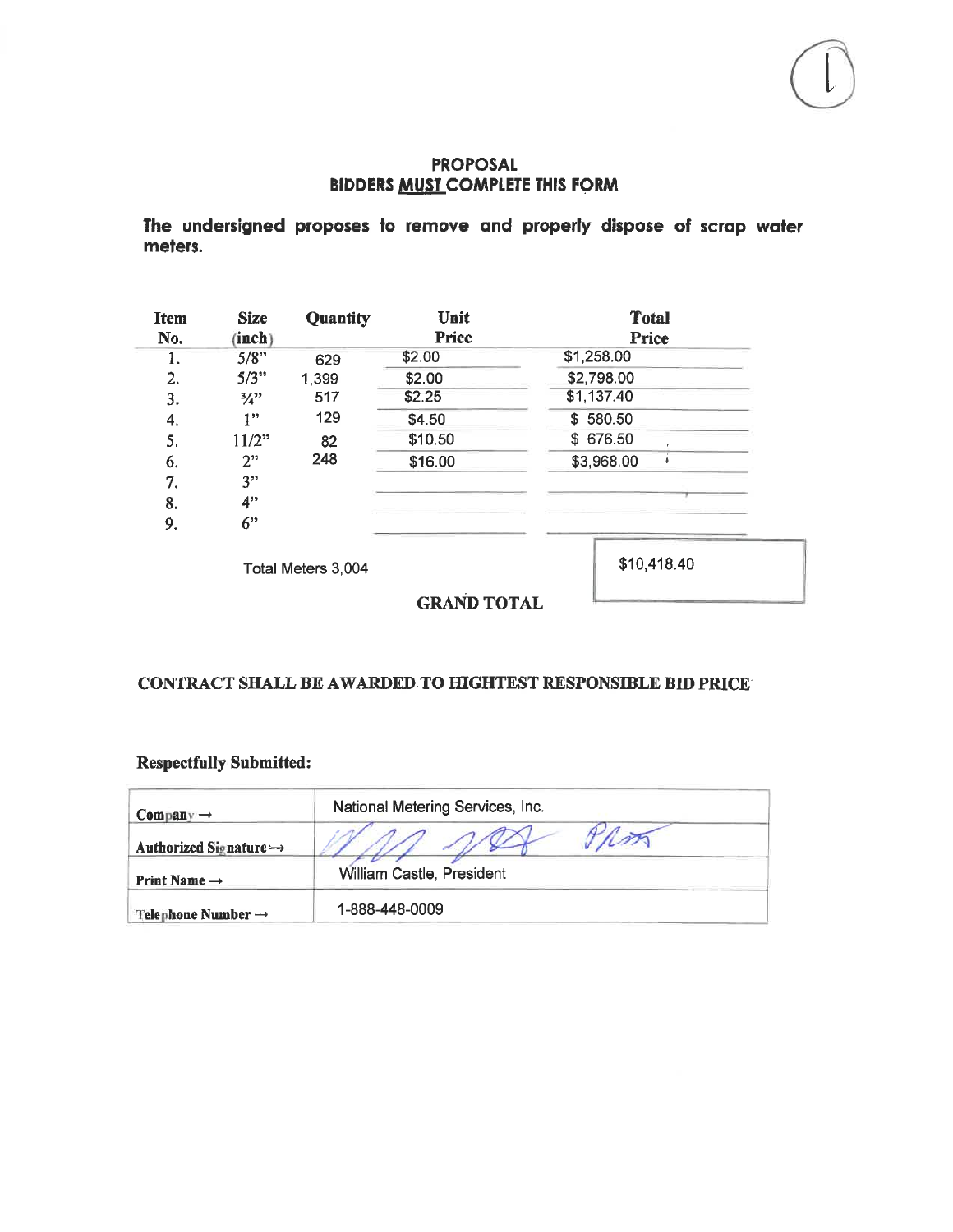### **PROPOSAL BIDDERS MUST COMPLETE THIS FORM**

The undersigned proposes to remove and properly dispose of scrap water meters.

| <b>Item</b><br>No. | <b>Size</b><br>(inch) | Quantity           | Unit<br>Price | <b>Total</b><br><b>Price</b> |  |  |  |
|--------------------|-----------------------|--------------------|---------------|------------------------------|--|--|--|
| 1.                 | 5/8"                  | 629                | \$2.00        | \$1,258.00                   |  |  |  |
| 2.                 | 5/3"                  | 1,399              | \$2.00        | \$2,798.00                   |  |  |  |
| 3.                 | $\frac{3}{4}$ ?       | 517                | \$2.25        | \$1,137.40                   |  |  |  |
| 4.                 | 1"                    | 129                | \$4.50        | \$580.50                     |  |  |  |
| 5.                 | 11/2"                 | 82                 | \$10.50       | \$676.50                     |  |  |  |
| 6.                 | 2"                    | 248                | \$16.00       | \$3,968.00                   |  |  |  |
| 7.                 | 3"                    |                    |               |                              |  |  |  |
| 8.                 | 4"                    |                    |               |                              |  |  |  |
| 9.                 | 6"                    |                    |               |                              |  |  |  |
|                    |                       | Total Meters 3,004 |               | \$10,418.40                  |  |  |  |

**GRAND TOTAL** 

## CONTRACT SHALL BE AWARDED TO HIGHTEST RESPONSIBLE BID PRICE

## **Respectfully Submitted:**

| $Companv \rightarrow$          | National Metering Services, Inc. |  |  |  |
|--------------------------------|----------------------------------|--|--|--|
| Authorized Signature →         |                                  |  |  |  |
| Print Name $\rightarrow$       | William Castle, President        |  |  |  |
| Telephone Number $\rightarrow$ | 1-888-448-0009                   |  |  |  |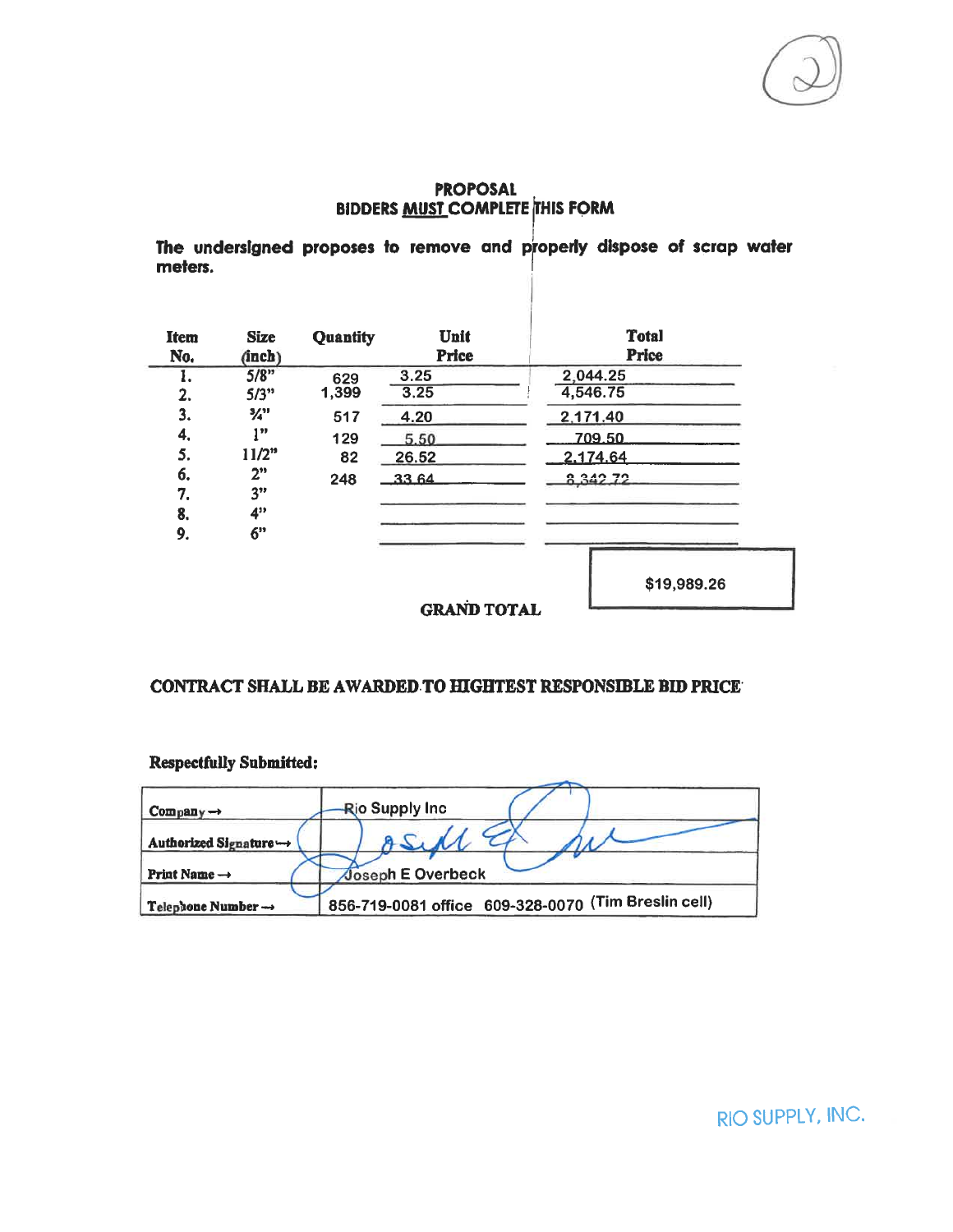## **PROPOSAL BIDDERS MUST COMPLETE THIS FORM**

The undersigned proposes to remove and properly dispose of scrap water meters.

| Item<br>No. | <b>Size</b><br>(inch)       | Quantity | Unit<br><b>Price</b> | <b>Total</b><br><b>Price</b> |  |  |
|-------------|-----------------------------|----------|----------------------|------------------------------|--|--|
| ı.          | 5/8"                        | 629      | 3.25                 | 2,044.25                     |  |  |
| 2.          | 5/3"                        | 1,399    | 3.25                 | 4,546.75                     |  |  |
| 3.          | $\frac{3}{4}$ <sup>31</sup> | 517      | 4.20                 | 2,171.40                     |  |  |
| 4.          | 1, 3                        | 129      | 5.50                 | 709.50                       |  |  |
| 5.          | 11/2"                       | 82       | 26.52                | 2.174.64                     |  |  |
| 6.          | 2"                          | 248      | 3364                 | 8.342.72                     |  |  |
| 7.          | 3"                          |          |                      |                              |  |  |
| 8.          | 4"                          |          |                      |                              |  |  |
| 9.          | 6"                          |          |                      |                              |  |  |
|             |                             |          |                      | \$19,989.26                  |  |  |
|             |                             |          | <b>GRAND TOTAL</b>   |                              |  |  |

### CONTRACT SHALL BE AWARDED TO HIGHTEST RESPONSIBLE BID PRICE

#### **Respectfully Submitted:**

| $Company \rightarrow$          | <b>Rio Supply Inc.</b>                                 |
|--------------------------------|--------------------------------------------------------|
| Authorized Signature ←→        |                                                        |
| Print Name $\rightarrow$       | <b>Joseph E Overbeck</b>                               |
| Telephone Number $\rightarrow$ | 609-328-0070 (Tim Breslin cell)<br>856-719-0081 office |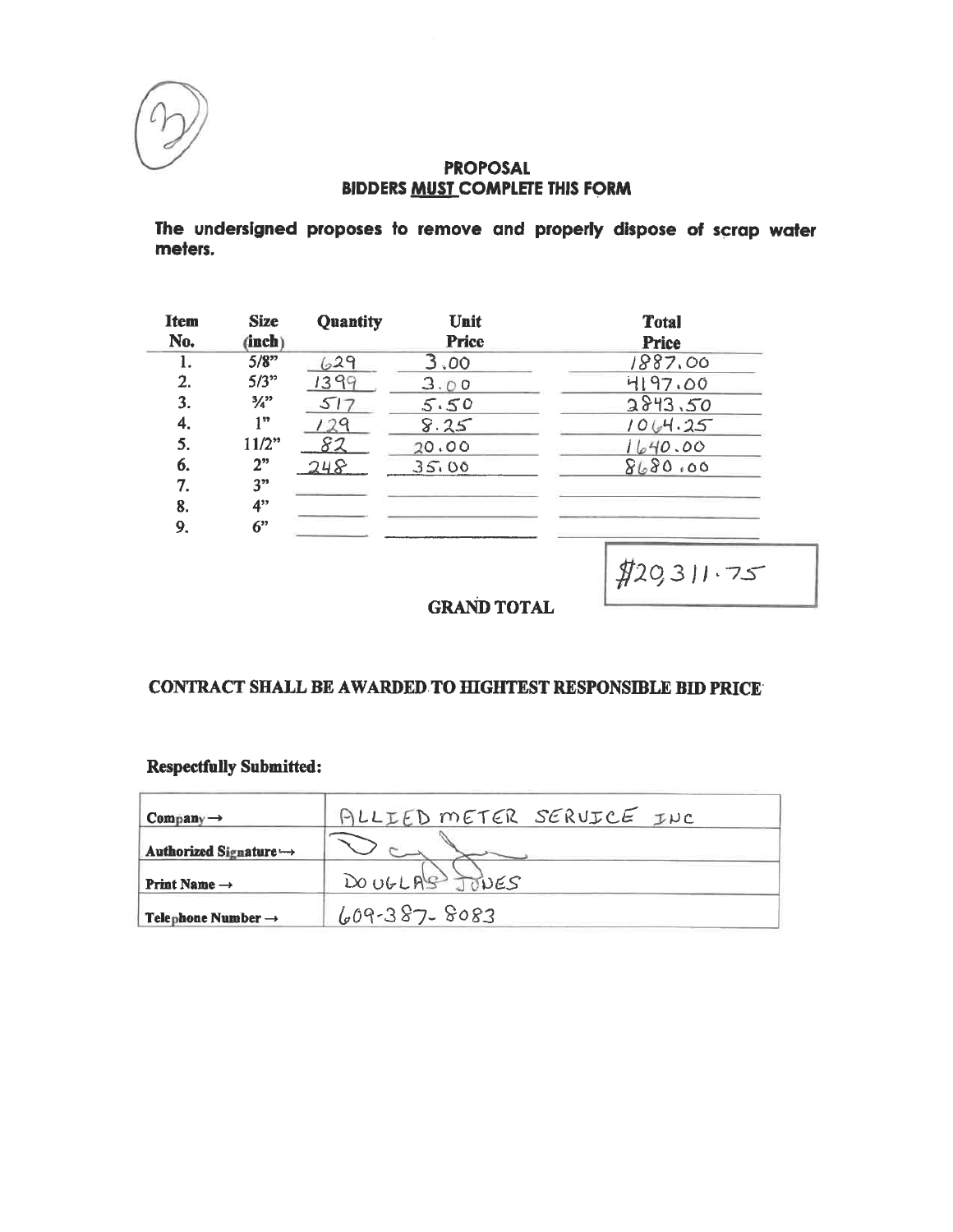

### **PROPOSAL BIDDERS MUST COMPLETE THIS FORM**

The undersigned proposes to remove and properly dispose of scrap water meters.

| Item | <b>Size</b>                 | <b>Quantity</b> | Unit         | <b>Total</b> |
|------|-----------------------------|-----------------|--------------|--------------|
| No.  | (inch)                      |                 | <b>Price</b> | <b>Price</b> |
| 1.   | 5/8"                        | 629             | 3,00         | 1887.00      |
| 2.   | 5/3"                        | 1399            | 3.00         | 4197.00      |
| 3.   | $\frac{3}{4}$ <sup>23</sup> | 517             | 5.50         | 2843.50      |
| 4.   | 132                         | 29              | 8.25         | 1064.25      |
| 5.   | $11/2$ "                    | 82              | 20.00        | 1640.00      |
| 6.   | 2"                          | 248             | 35.00        | 8680.00      |
| 7.   | 3"                          |                 |              |              |
| 8.   | 4"                          |                 |              |              |
| 9.   | 6"                          |                 |              |              |

 $$20,311.75$ 

**GRAND TOTAL** 

# CONTRACT SHALL BE AWARDED TO HIGHTEST RESPONSIBLE BID PRICE

## **Respectfully Submitted:**

| $Company \rightarrow$              | ALLIED METER SERUICE INC |
|------------------------------------|--------------------------|
| Authorized Signature $\rightarrow$ |                          |
| Print Name $\rightarrow$           | DOUGLAS JONES            |
| Telephone Number $\rightarrow$     | $609-387-8083$           |